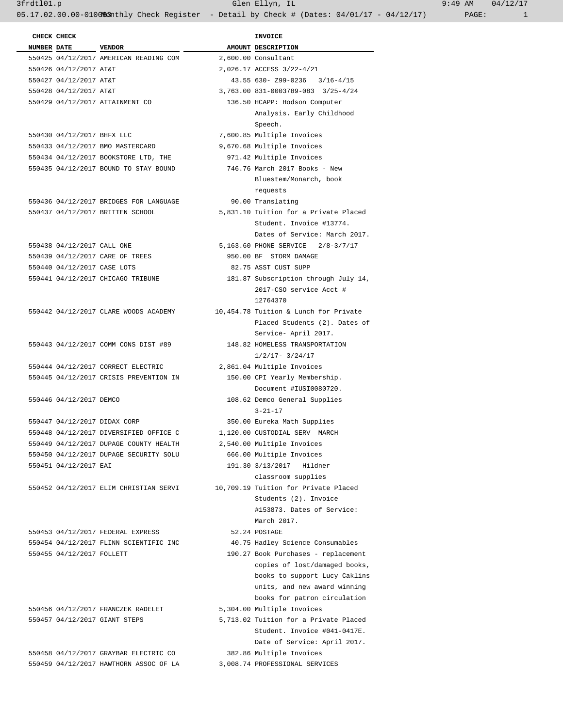3frdtl01.p Glen Ellyn, IL 9:49 AM 04/12/17

05.17.02.00.00-010083nthly Check Register - Detail by Check # (Dates: 04/01/17 - 04/12/17) PAGE: 1

| CHECK CHECK                 |                                                                      | <b>INVOICE</b>                        |
|-----------------------------|----------------------------------------------------------------------|---------------------------------------|
| NUMBER DATE VENDOR          |                                                                      | AMOUNT DESCRIPTION                    |
|                             | 550425 04/12/2017 AMERICAN READING COM                               | 2,600.00 Consultant                   |
| 550426 04/12/2017 AT&T      |                                                                      | 2,026.17 ACCESS 3/22-4/21             |
| 550427 04/12/2017 AT&T      |                                                                      | 43.55 630- Z99-0236 3/16-4/15         |
| 550428 04/12/2017 AT&T      |                                                                      | 3,763.00 831-0003789-083 3/25-4/24    |
|                             | 550429 04/12/2017 ATTAINMENT CO                                      | 136.50 HCAPP: Hodson Computer         |
|                             |                                                                      | Analysis. Early Childhood             |
|                             |                                                                      | Speech.                               |
| 550430 04/12/2017 BHFX LLC  |                                                                      | 7,600.85 Multiple Invoices            |
|                             | 550433 04/12/2017 BMO MASTERCARD                                     | 9,670.68 Multiple Invoices            |
|                             | 550434 04/12/2017 BOOKSTORE LTD, THE                                 | 971.42 Multiple Invoices              |
|                             | 550435 04/12/2017 BOUND TO STAY BOUND                                | 746.76 March 2017 Books - New         |
|                             |                                                                      | Bluestem/Monarch, book                |
|                             |                                                                      | requests                              |
|                             | 550436 04/12/2017 BRIDGES FOR LANGUAGE                               | 90.00 Translating                     |
|                             | 550437 04/12/2017 BRITTEN SCHOOL                                     | 5,831.10 Tuition for a Private Placed |
|                             |                                                                      | Student. Invoice #13774.              |
|                             |                                                                      | Dates of Service: March 2017.         |
| 550438 04/12/2017 CALL ONE  |                                                                      | 5,163.60 PHONE SERVICE 2/8-3/7/17     |
|                             | 550439 04/12/2017 CARE OF TREES                                      | 950.00 BF STORM DAMAGE                |
| 550440 04/12/2017 CASE LOTS |                                                                      | 82.75 ASST CUST SUPP                  |
|                             | 550441 04/12/2017 CHICAGO TRIBUNE                                    | 181.87 Subscription through July 14,  |
|                             |                                                                      | 2017-CSO service Acct #               |
|                             |                                                                      | 12764370                              |
|                             | 550442 04/12/2017 CLARE WOODS ACADEMY                                | 10,454.78 Tuition & Lunch for Private |
|                             |                                                                      | Placed Students (2). Dates of         |
|                             |                                                                      | Service- April 2017.                  |
|                             | 550443 04/12/2017 COMM CONS DIST #89                                 | 148.82 HOMELESS TRANSPORTATION        |
|                             |                                                                      | $1/2/17 - 3/24/17$                    |
|                             | 550444 04/12/2017 CORRECT ELECTRIC                                   | 2,861.04 Multiple Invoices            |
|                             | 550445 04/12/2017 CRISIS PREVENTION IN                               | 150.00 CPI Yearly Membership.         |
|                             |                                                                      | Document #IUSI0080720.                |
| 550446 04/12/2017 DEMCO     |                                                                      | 108.62 Demco General Supplies         |
|                             |                                                                      | $3 - 21 - 17$                         |
|                             | 550447 04/12/2017 DIDAX CORP                                         | 350.00 Eureka Math Supplies           |
|                             | 550448 04/12/2017 DIVERSIFIED OFFICE C 1,120.00 CUSTODIAL SERV MARCH |                                       |
|                             | 550449 04/12/2017 DUPAGE COUNTY HEALTH                               | 2,540.00 Multiple Invoices            |
|                             | 550450 04/12/2017 DUPAGE SECURITY SOLU                               | 666.00 Multiple Invoices              |
| 550451 04/12/2017 EAI       |                                                                      | 191.30 3/13/2017 Hildner              |
|                             |                                                                      | classroom supplies                    |
|                             | 550452 04/12/2017 ELIM CHRISTIAN SERVI                               | 10,709.19 Tuition for Private Placed  |
|                             |                                                                      | Students (2). Invoice                 |
|                             |                                                                      | #153873. Dates of Service:            |
|                             |                                                                      | March 2017.                           |
|                             | 550453 04/12/2017 FEDERAL EXPRESS                                    | 52.24 POSTAGE                         |
|                             | 550454 04/12/2017 FLINN SCIENTIFIC INC                               | 40.75 Hadley Science Consumables      |
| 550455 04/12/2017 FOLLETT   |                                                                      | 190.27 Book Purchases - replacement   |
|                             |                                                                      | copies of lost/damaged books,         |
|                             |                                                                      | books to support Lucy Caklins         |
|                             |                                                                      | units, and new award winning          |
|                             |                                                                      | books for patron circulation          |
|                             | 550456 04/12/2017 FRANCZEK RADELET                                   | 5,304.00 Multiple Invoices            |
|                             | 550457 04/12/2017 GIANT STEPS                                        | 5,713.02 Tuition for a Private Placed |
|                             |                                                                      | Student. Invoice #041-0417E.          |
|                             |                                                                      | Date of Service: April 2017.          |
|                             | 550458 04/12/2017 GRAYBAR ELECTRIC CO                                | 382.86 Multiple Invoices              |
|                             | 550459 04/12/2017 HAWTHORN ASSOC OF LA                               | 3,008.74 PROFESSIONAL SERVICES        |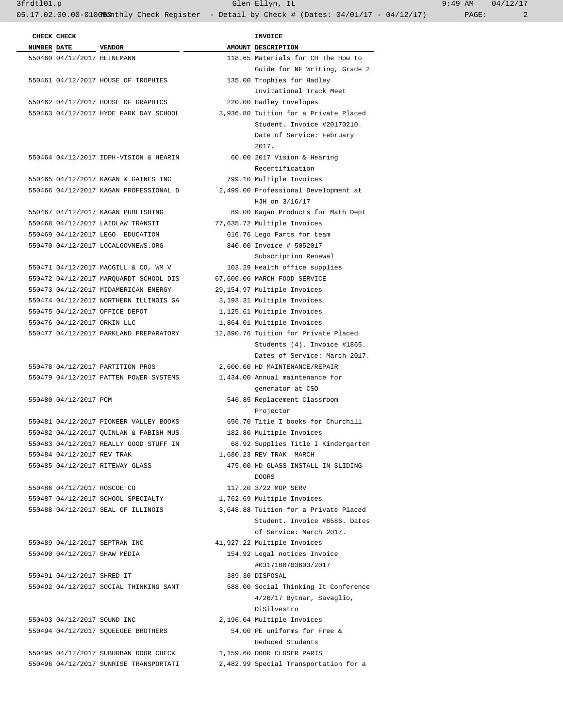3frdtl01.p Glen Ellyn, IL 9:49 AM 04/12/17

05.17.02.00.00-010083nthly Check Register - Detail by Check # (Dates: 04/01/17 - 04/12/17) PAGE: 2

|                    | CHECK CHECK                 |                                        | INVOICE                               |
|--------------------|-----------------------------|----------------------------------------|---------------------------------------|
| <b>NUMBER DATE</b> |                             | <b>VENDOR</b>                          | AMOUNT DESCRIPTION                    |
|                    | 550460 04/12/2017 HEINEMANN |                                        | 118.65 Materials for CH The How to    |
|                    |                             |                                        | Guide for NF Writing, Grade 2         |
|                    |                             | 550461 04/12/2017 HOUSE OF TROPHIES    | 135.00 Trophies for Hadley            |
|                    |                             |                                        | Invitational Track Meet               |
|                    |                             | 550462 04/12/2017 HOUSE OF GRAPHICS    | 220.00 Hadley Envelopes               |
|                    |                             | 550463 04/12/2017 HYDE PARK DAY SCHOOL | 3,936.80 Tuition for a Private Placed |
|                    |                             |                                        | Student. Invoice #20170210.           |
|                    |                             |                                        | Date of Service: February             |
|                    |                             |                                        | 2017.                                 |
|                    |                             | 550464 04/12/2017 IDPH-VISION & HEARIN | 60.00 2017 Vision & Hearing           |
|                    |                             |                                        | Recertification                       |
|                    |                             | 550465 04/12/2017 KAGAN & GAINES INC   | 799.10 Multiple Invoices              |
|                    |                             | 550466 04/12/2017 KAGAN PROFESSIONAL D | 2,499.00 Professional Development at  |
|                    |                             |                                        | HJH on 3/16/17                        |
|                    |                             | 550467 04/12/2017 KAGAN PUBLISHING     | 89.00 Kagan Products for Math Dept    |
|                    |                             | 550468 04/12/2017 LAIDLAW TRANSIT      | 77,635.72 Multiple Invoices           |
|                    |                             | 550469 04/12/2017 LEGO EDUCATION       | 616.76 Lego Parts for team            |
|                    |                             | 550470 04/12/2017 LOCALGOVNEWS.ORG     | 840.00 Invoice # 5052017              |
|                    |                             |                                        | Subscription Renewal                  |
|                    |                             | 550471 04/12/2017 MACGILL & CO, WM V   | 103.29 Health office supplies         |
|                    |                             | 550472 04/12/2017 MARQUARDT SCHOOL DIS | 67,606.06 MARCH FOOD SERVICE          |
|                    |                             | 550473 04/12/2017 MIDAMERICAN ENERGY   | 29,154.97 Multiple Invoices           |
|                    |                             | 550474 04/12/2017 NORTHERN ILLINOIS GA | 3,193.31 Multiple Invoices            |
|                    |                             | 550475 04/12/2017 OFFICE DEPOT         | 1,125.61 Multiple Invoices            |
|                    | 550476 04/12/2017 ORKIN LLC |                                        | 1,864.01 Multiple Invoices            |
|                    |                             | 550477 04/12/2017 PARKLAND PREPARATORY | 12,890.76 Tuition for Private Placed  |
|                    |                             |                                        | Students (4). Invoice #1865.          |
|                    |                             |                                        | Dates of Service: March 2017.         |
|                    |                             | 550478 04/12/2017 PARTITION PROS       | 2,600.00 HD MAINTENANCE/REPAIR        |
|                    |                             | 550479 04/12/2017 PATTEN POWER SYSTEMS | 1,434.00 Annual maintenance for       |
|                    |                             |                                        | generator at CSO                      |
|                    | 550480 04/12/2017 PCM       |                                        | 546.85 Replacement Classroom          |
|                    |                             |                                        | Projector                             |
|                    |                             | 550481 04/12/2017 PIONEER VALLEY BOOKS | 656.70 Title I books for Churchill    |
|                    |                             | 550482 04/12/2017 QUINLAN & FABISH MUS | 182.80 Multiple Invoices              |
|                    |                             | 550483 04/12/2017 REALLY GOOD STUFF IN | 68.92 Supplies Title I Kindergarten   |
|                    | 550484 04/12/2017 REV TRAK  |                                        | 1,680.23 REV TRAK MARCH               |
|                    |                             | 550485 04/12/2017 RITEWAY GLASS        | 475.00 HD GLASS INSTALL IN SLIDING    |
|                    |                             |                                        | <b>DOORS</b>                          |
|                    | 550486 04/12/2017 ROSCOE CO |                                        | 117.20 3/22 MOP SERV                  |
|                    |                             | 550487 04/12/2017 SCHOOL SPECIALTY     | 1,762.69 Multiple Invoices            |
|                    |                             | 550488 04/12/2017 SEAL OF ILLINOIS     | 3,648.88 Tuition for a Private Placed |
|                    |                             |                                        | Student. Invoice #6586. Dates         |
|                    |                             |                                        | of Service: March 2017.               |
|                    |                             | 550489 04/12/2017 SEPTRAN INC          | 41,927.22 Multiple Invoices           |
|                    |                             | 550490 04/12/2017 SHAW MEDIA           | 154.92 Legal notices Invoice          |
|                    |                             |                                        | #0317100703603/2017                   |
|                    | 550491 04/12/2017 SHRED-IT  |                                        | 389.30 DISPOSAL                       |
|                    |                             | 550492 04/12/2017 SOCIAL THINKING SANT | 588.00 Social Thinking It Conference  |
|                    |                             |                                        | 4/26/17 Bytnar, Savaglio,             |
|                    |                             |                                        | DiSilvestro                           |
|                    | 550493 04/12/2017 SOUND INC |                                        | 2,196.04 Multiple Invoices            |
|                    |                             | 550494 04/12/2017 SQUEEGEE BROTHERS    | 54.00 PE uniforms for Free &          |
|                    |                             |                                        | Reduced Students                      |
|                    |                             | 550495 04/12/2017 SUBURBAN DOOR CHECK  | 1,159.60 DOOR CLOSER PARTS            |
|                    |                             | 550496 04/12/2017 SUNRISE TRANSPORTATI | 2,482.99 Special Transportation for a |
|                    |                             |                                        |                                       |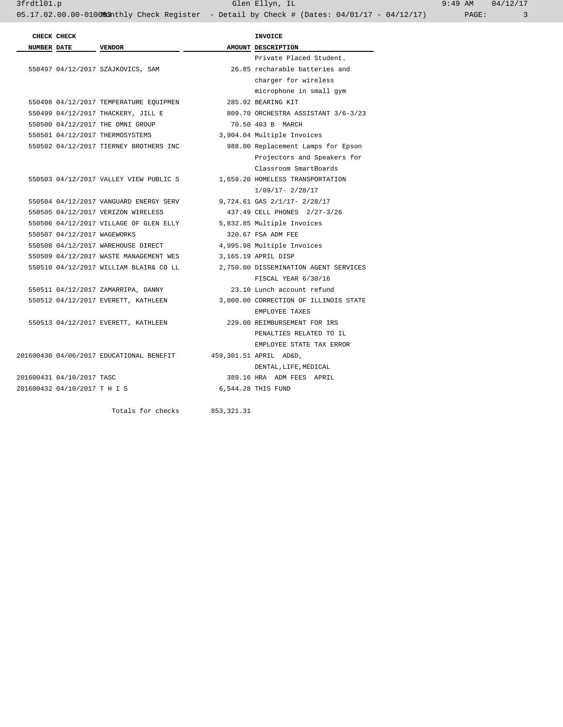|                    | CHECK CHECK                  |                                                           |             | <b>INVOICE</b>                        |
|--------------------|------------------------------|-----------------------------------------------------------|-------------|---------------------------------------|
| <b>NUMBER DATE</b> |                              | VENDOR                                                    |             | AMOUNT DESCRIPTION                    |
|                    |                              |                                                           |             | Private Placed Student.               |
|                    |                              | 550497 04/12/2017 SZAJKOVICS, SAM                         |             | 26.85 recharable batteries and        |
|                    |                              |                                                           |             | charger for wireless                  |
|                    |                              |                                                           |             | microphone in small gym               |
|                    |                              | 550498 04/12/2017 TEMPERATURE EQUIPMEN 285.92 BEARING KIT |             |                                       |
|                    |                              | 550499 04/12/2017 THACKERY, JILL E                        |             | 809.70 ORCHESTRA ASSISTANT 3/6-3/23   |
|                    |                              | 550500 04/12/2017 THE OMNI GROUP                          |             | 70.50 403 B MARCH                     |
|                    |                              | 550501 04/12/2017 THERMOSYSTEMS                           |             | 3,904.04 Multiple Invoices            |
|                    |                              | 550502 04/12/2017 TIERNEY BROTHERS INC                    |             | 988.00 Replacement Lamps for Epson    |
|                    |                              |                                                           |             | Projectors and Speakers for           |
|                    |                              |                                                           |             | Classroom SmartBoards                 |
|                    |                              | 550503 04/12/2017 VALLEY VIEW PUBLIC S                    |             | 1,659.20 HOMELESS TRANSPORTATION      |
|                    |                              |                                                           |             | $1/09/17 - 2/28/17$                   |
|                    |                              | 550504 04/12/2017 VANGUARD ENERGY SERV                    |             | 9,724.61 GAS 2/1/17- 2/28/17          |
|                    |                              | 550505 04/12/2017 VERIZON WIRELESS                        |             | 437.49 CELL PHONES 2/27-3/26          |
|                    |                              | 550506 04/12/2017 VILLAGE OF GLEN ELLY                    |             | 5,832.85 Multiple Invoices            |
|                    | 550507 04/12/2017 WAGEWORKS  |                                                           |             | 320.67 FSA ADM FEE                    |
|                    |                              | 550508 04/12/2017 WAREHOUSE DIRECT                        |             | 4,995.98 Multiple Invoices            |
|                    |                              | 550509 04/12/2017 WASTE MANAGEMENT WES                    |             | 3,165.19 APRIL DISP                   |
|                    |                              | 550510 04/12/2017 WILLIAM BLAIR& CO LL                    |             | 2,750.00 DISSEMINATION AGENT SERVICES |
|                    |                              |                                                           |             | FISCAL YEAR 6/30/16                   |
|                    |                              | 550511 04/12/2017 ZAMARRIPA, DANNY                        |             | 23.10 Lunch account refund            |
|                    |                              | 550512 04/12/2017 EVERETT, KATHLEEN                       |             | 3,000.00 CORRECTION OF ILLINOIS STATE |
|                    |                              |                                                           |             | EMPLOYEE TAXES                        |
|                    |                              | 550513 04/12/2017 EVERETT, KATHLEEN                       |             | 229.00 REIMBURSEMENT FOR IRS          |
|                    |                              |                                                           |             | PENALTIES RELATED TO IL               |
|                    |                              |                                                           |             | EMPLOYEE STATE TAX ERROR              |
|                    |                              | 201600430 04/06/2017 EDUCATIONAL BENEFIT                  |             | 459,301.51 APRIL AD&D,                |
|                    |                              |                                                           |             | DENTAL, LIFE, MEDICAL                 |
|                    | 201600431 04/10/2017 TASC    |                                                           |             | 389.16 HRA ADM FEES APRIL             |
|                    | 201600432 04/10/2017 T H I S |                                                           |             | 6,544.28 THIS FUND                    |
|                    |                              |                                                           |             |                                       |
|                    |                              | Totals for checks                                         | 853, 321.31 |                                       |